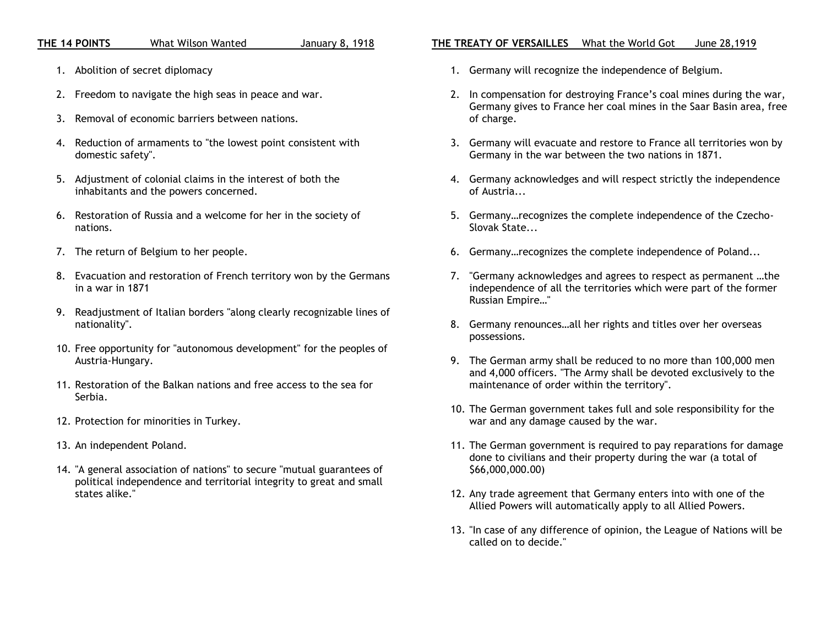## **THE 14 POINTS** What Wilson Wanted January 8, 1918

- 1. Abolition of secret diplomacy
- 2. Freedom to navigate the high seas in peace and war.
- 3. Removal of economic barriers between nations.
- 4. Reduction of armaments to "the lowest point consistent with domestic safety".
- 5. Adjustment of colonial claims in the interest of both the inhabitants and the powers concerned.
- 6. Restoration of Russia and a welcome for her in the society of nations.
- 7. The return of Belgium to her people.
- 8. Evacuation and restoration of French territory won by the Germans in a war in 1871
- 9. Readjustment of Italian borders "along clearly recognizable lines of nationality".
- 10. Free opportunity for "autonomous development" for the peoples of Austria-Hungary.
- 11. Restoration of the Balkan nations and free access to the sea for Serbia.
- 12. Protection for minorities in Turkey.
- 13. An independent Poland.
- 14. "A general association of nations" to secure "mutual guarantees of political independence and territorial integrity to great and small states alike."

## **THE TREATY OF VERSAILLES** What the World Got June 28,1919

- 1. Germany will recognize the independence of Belgium.
- 2. In compensation for destroying France's coal mines during the war, Germany gives to France her coal mines in the Saar Basin area, free of charge.
- 3. Germany will evacuate and restore to France all territories won by Germany in the war between the two nations in 1871.
- 4. Germany acknowledges and will respect strictly the independence of Austria...
- 5. Germany…recognizes the complete independence of the Czecho-Slovak State...
- 6. Germany…recognizes the complete independence of Poland...
- 7. "Germany acknowledges and agrees to respect as permanent …the independence of all the territories which were part of the former Russian Empire…"
- 8. Germany renounces…all her rights and titles over her overseas possessions.
- 9. The German army shall be reduced to no more than 100,000 men and 4,000 officers. "The Army shall be devoted exclusively to the maintenance of order within the territory".
- 10. The German government takes full and sole responsibility for the war and any damage caused by the war.
- 11. The German government is required to pay reparations for damage done to civilians and their property during the war (a total of \$66,000,000.00)
- 12. Any trade agreement that Germany enters into with one of the Allied Powers will automatically apply to all Allied Powers.
- 13. "In case of any difference of opinion, the League of Nations will be called on to decide."